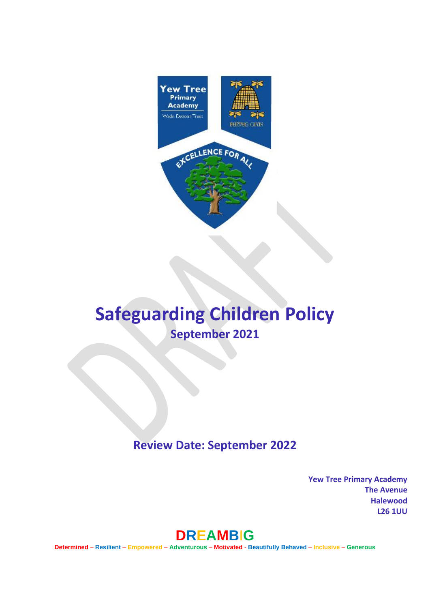

# **Safeguarding Children Policy September 2021**

# **Review Date: September 2022**

**Yew Tree Primary Academy The Avenue Halewood L26 1UU** 



**Determined** – **Resilient** – **Empowered** – **Adventurous** – **Motivated** - **Beautifully Behaved** – **Inclusive** – **Generous**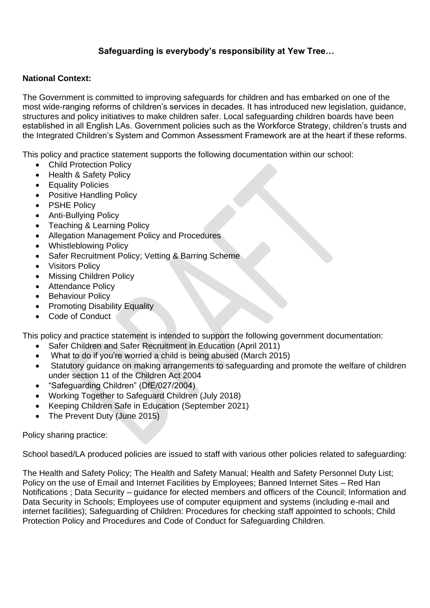# **Safeguarding is everybody's responsibility at Yew Tree…**

#### **National Context:**

The Government is committed to improving safeguards for children and has embarked on one of the most wide-ranging reforms of children's services in decades. It has introduced new legislation, guidance, structures and policy initiatives to make children safer. Local safeguarding children boards have been established in all English LAs. Government policies such as the Workforce Strategy, children's trusts and the Integrated Children's System and Common Assessment Framework are at the heart if these reforms.

This policy and practice statement supports the following documentation within our school:

- Child Protection Policy
- Health & Safety Policy
- Equality Policies
- Positive Handling Policy
- PSHE Policy
- Anti-Bullying Policy
- Teaching & Learning Policy
- Allegation Management Policy and Procedures
- Whistleblowing Policy
- Safer Recruitment Policy; Vetting & Barring Scheme
- Visitors Policy
- **Missing Children Policy**
- Attendance Policy
- Behaviour Policy
- Promoting Disability Equality
- Code of Conduct

This policy and practice statement is intended to support the following government documentation:

- Safer Children and Safer Recruitment in Education (April 2011)
- What to do if you're worried a child is being abused (March 2015)
- Statutory guidance on making arrangements to safeguarding and promote the welfare of children under section 11 of the Children Act 2004
- "Safeguarding Children" (DfE/027/2004)
- Working Together to Safeguard Children (July 2018)
- Keeping Children Safe in Education (September 2021)
- The Prevent Duty (June 2015)

Policy sharing practice:

School based/LA produced policies are issued to staff with various other policies related to safeguarding:

The Health and Safety Policy; The Health and Safety Manual; Health and Safety Personnel Duty List; Policy on the use of Email and Internet Facilities by Employees; Banned Internet Sites – Red Han Notifications ; Data Security – guidance for elected members and officers of the Council; Information and Data Security in Schools; Employees use of computer equipment and systems (including e-mail and internet facilities); Safeguarding of Children: Procedures for checking staff appointed to schools; Child Protection Policy and Procedures and Code of Conduct for Safeguarding Children.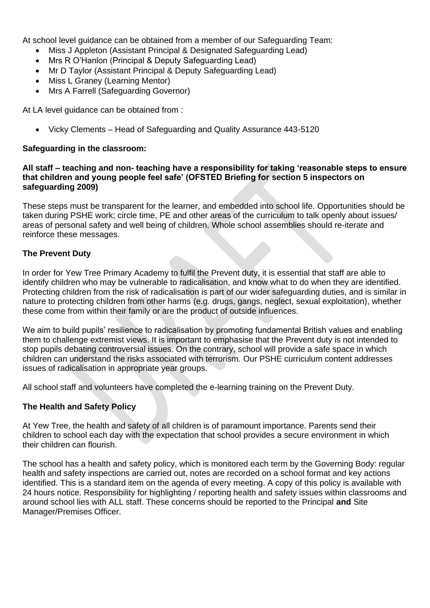At school level guidance can be obtained from a member of our Safeguarding Team:

- Miss J Appleton (Assistant Principal & Designated Safeguarding Lead)
- Mrs R O'Hanlon (Principal & Deputy Safeguarding Lead)
- Mr D Taylor (Assistant Principal & Deputy Safeguarding Lead)
- Miss L Graney (Learning Mentor)
- Mrs A Farrell (Safeguarding Governor)

At LA level quidance can be obtained from :

• Vicky Clements – Head of Safeguarding and Quality Assurance 443-5120

#### **Safeguarding in the classroom:**

#### **All staff – teaching and non- teaching have a responsibility for taking 'reasonable steps to ensure that children and young people feel safe' (OFSTED Briefing for section 5 inspectors on safeguarding 2009)**

These steps must be transparent for the learner, and embedded into school life. Opportunities should be taken during PSHE work; circle time, PE and other areas of the curriculum to talk openly about issues/ areas of personal safety and well being of children. Whole school assemblies should re-iterate and reinforce these messages.

#### **The Prevent Duty**

In order for Yew Tree Primary Academy to fulfil the Prevent duty, it is essential that staff are able to identify children who may be vulnerable to radicalisation, and know what to do when they are identified. Protecting children from the risk of radicalisation is part of our wider safeguarding duties, and is similar in nature to protecting children from other harms (e.g. drugs, gangs, neglect, sexual exploitation), whether these come from within their family or are the product of outside influences.

We aim to build pupils' resilience to radicalisation by promoting fundamental British values and enabling them to challenge extremist views. It is important to emphasise that the Prevent duty is not intended to stop pupils debating controversial issues. On the contrary, school will provide a safe space in which children can understand the risks associated with terrorism. Our PSHE curriculum content addresses issues of radicalisation in appropriate year groups.

All school staff and volunteers have completed the e-learning training on the Prevent Duty.

#### **The Health and Safety Policy**

At Yew Tree, the health and safety of all children is of paramount importance. Parents send their children to school each day with the expectation that school provides a secure environment in which their children can flourish.

The school has a health and safety policy, which is monitored each term by the Governing Body: regular health and safety inspections are carried out, notes are recorded on a school format and key actions identified. This is a standard item on the agenda of every meeting. A copy of this policy is available with 24 hours notice. Responsibility for highlighting / reporting health and safety issues within classrooms and around school lies with ALL staff. These concerns should be reported to the Principal **and** Site Manager/Premises Officer.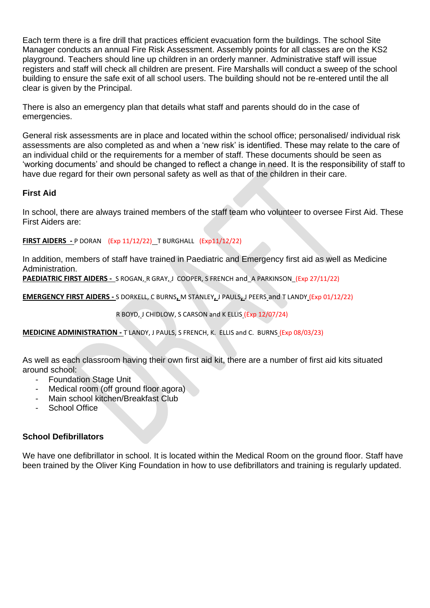Each term there is a fire drill that practices efficient evacuation form the buildings. The school Site Manager conducts an annual Fire Risk Assessment. Assembly points for all classes are on the KS2 playground. Teachers should line up children in an orderly manner. Administrative staff will issue registers and staff will check all children are present. Fire Marshalls will conduct a sweep of the school building to ensure the safe exit of all school users. The building should not be re-entered until the all clear is given by the Principal.

There is also an emergency plan that details what staff and parents should do in the case of emergencies.

General risk assessments are in place and located within the school office; personalised/ individual risk assessments are also completed as and when a 'new risk' is identified. These may relate to the care of an individual child or the requirements for a member of staff. These documents should be seen as 'working documents' and should be changed to reflect a change in need. It is the responsibility of staff to have due regard for their own personal safety as well as that of the children in their care.

#### **First Aid**

In school, there are always trained members of the staff team who volunteer to oversee First Aid. These First Aiders are:

**FIRST AIDERS -** P DORAN (Exp 11/12/22)T BURGHALL (Exp11/12/22)

In addition, members of staff have trained in Paediatric and Emergency first aid as well as Medicine Administration.

**PAEDIATRIC FIRST AIDERS -** S ROGAN, R GRAY, J COOPER, S FRENCH and A PARKINSON(Exp 27/11/22)

**EMERGENCY FIRST AIDERS -** S DORKELL, C BURNS**,** M STANLEY**,** J PAULS**,** J PEERS and T LANDY (Exp 01/12/22)

R BOYD, J CHIDLOW, S CARSON and K ELLIS (Exp 12/07/24)

**MEDICINE ADMINISTRATION -** T LANDY, J PAULS, S FRENCH, K. ELLIS and C. BURNS (Exp 08/03/23)

As well as each classroom having their own first aid kit, there are a number of first aid kits situated around school:

- Foundation Stage Unit
- Medical room (off ground floor agora)
- Main school kitchen/Breakfast Club
- School Office

#### **School Defibrillators**

We have one defibrillator in school. It is located within the Medical Room on the ground floor. Staff have been trained by the Oliver King Foundation in how to use defibrillators and training is regularly updated.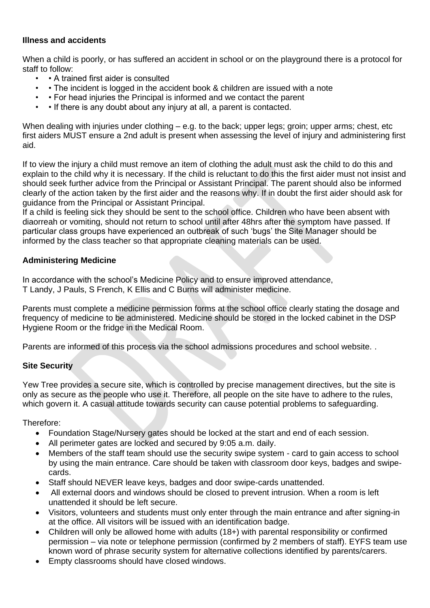# **Illness and accidents**

When a child is poorly, or has suffered an accident in school or on the playground there is a protocol for staff to follow:

- • A trained first aider is consulted
- • The incident is logged in the accident book & children are issued with a note
- • For head injuries the Principal is informed and we contact the parent
- • If there is any doubt about any injury at all, a parent is contacted.

When dealing with injuries under clothing – e.g. to the back; upper legs; groin; upper arms; chest, etc first aiders MUST ensure a 2nd adult is present when assessing the level of injury and administering first aid.

If to view the injury a child must remove an item of clothing the adult must ask the child to do this and explain to the child why it is necessary. If the child is reluctant to do this the first aider must not insist and should seek further advice from the Principal or Assistant Principal. The parent should also be informed clearly of the action taken by the first aider and the reasons why. If in doubt the first aider should ask for guidance from the Principal or Assistant Principal.

If a child is feeling sick they should be sent to the school office. Children who have been absent with diaorreah or vomiting, should not return to school until after 48hrs after the symptom have passed. If particular class groups have experienced an outbreak of such 'bugs' the Site Manager should be informed by the class teacher so that appropriate cleaning materials can be used.

#### **Administering Medicine**

In accordance with the school's Medicine Policy and to ensure improved attendance, T Landy, J Pauls, S French, K Ellis and C Burns will administer medicine.

Parents must complete a medicine permission forms at the school office clearly stating the dosage and frequency of medicine to be administered. Medicine should be stored in the locked cabinet in the DSP Hygiene Room or the fridge in the Medical Room.

Parents are informed of this process via the school admissions procedures and school website. .

# **Site Security**

Yew Tree provides a secure site, which is controlled by precise management directives, but the site is only as secure as the people who use it. Therefore, all people on the site have to adhere to the rules, which govern it. A casual attitude towards security can cause potential problems to safeguarding.

#### Therefore:

- Foundation Stage/Nursery gates should be locked at the start and end of each session.
- All perimeter gates are locked and secured by 9:05 a.m. daily.
- Members of the staff team should use the security swipe system card to gain access to school by using the main entrance. Care should be taken with classroom door keys, badges and swipecards.
- Staff should NEVER leave keys, badges and door swipe-cards unattended.
- All external doors and windows should be closed to prevent intrusion. When a room is left unattended it should be left secure.
- Visitors, volunteers and students must only enter through the main entrance and after signing-in at the office. All visitors will be issued with an identification badge.
- Children will only be allowed home with adults (18+) with parental responsibility or confirmed permission – via note or telephone permission (confirmed by 2 members of staff). EYFS team use known word of phrase security system for alternative collections identified by parents/carers.
- Empty classrooms should have closed windows.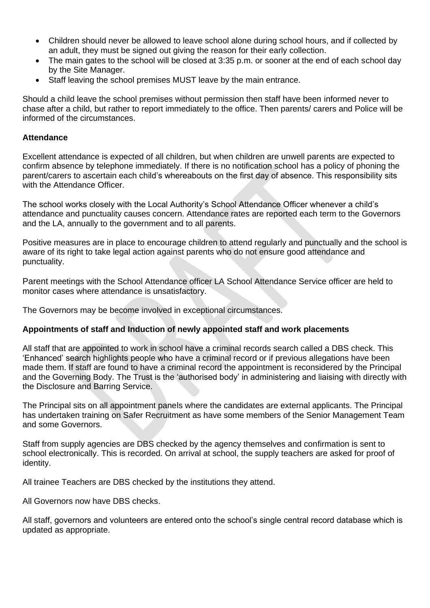- Children should never be allowed to leave school alone during school hours, and if collected by an adult, they must be signed out giving the reason for their early collection.
- The main gates to the school will be closed at 3:35 p.m. or sooner at the end of each school day by the Site Manager.
- Staff leaving the school premises MUST leave by the main entrance.

Should a child leave the school premises without permission then staff have been informed never to chase after a child, but rather to report immediately to the office. Then parents/ carers and Police will be informed of the circumstances.

#### **Attendance**

Excellent attendance is expected of all children, but when children are unwell parents are expected to confirm absence by telephone immediately. If there is no notification school has a policy of phoning the parent/carers to ascertain each child's whereabouts on the first day of absence. This responsibility sits with the Attendance Officer.

The school works closely with the Local Authority's School Attendance Officer whenever a child's attendance and punctuality causes concern. Attendance rates are reported each term to the Governors and the LA, annually to the government and to all parents.

Positive measures are in place to encourage children to attend regularly and punctually and the school is aware of its right to take legal action against parents who do not ensure good attendance and punctuality.

Parent meetings with the School Attendance officer LA School Attendance Service officer are held to monitor cases where attendance is unsatisfactory.

The Governors may be become involved in exceptional circumstances.

#### **Appointments of staff and Induction of newly appointed staff and work placements**

All staff that are appointed to work in school have a criminal records search called a DBS check. This 'Enhanced' search highlights people who have a criminal record or if previous allegations have been made them. If staff are found to have a criminal record the appointment is reconsidered by the Principal and the Governing Body. The Trust is the 'authorised body' in administering and liaising with directly with the Disclosure and Barring Service.

The Principal sits on all appointment panels where the candidates are external applicants. The Principal has undertaken training on Safer Recruitment as have some members of the Senior Management Team and some Governors.

Staff from supply agencies are DBS checked by the agency themselves and confirmation is sent to school electronically. This is recorded. On arrival at school, the supply teachers are asked for proof of identity.

All trainee Teachers are DBS checked by the institutions they attend.

All Governors now have DBS checks.

All staff, governors and volunteers are entered onto the school's single central record database which is updated as appropriate.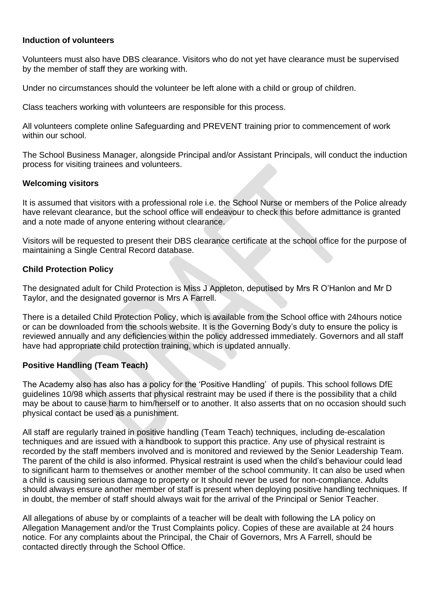#### **Induction of volunteers**

Volunteers must also have DBS clearance. Visitors who do not yet have clearance must be supervised by the member of staff they are working with.

Under no circumstances should the volunteer be left alone with a child or group of children.

Class teachers working with volunteers are responsible for this process.

All volunteers complete online Safeguarding and PREVENT training prior to commencement of work within our school.

The School Business Manager, alongside Principal and/or Assistant Principals, will conduct the induction process for visiting trainees and volunteers.

#### **Welcoming visitors**

It is assumed that visitors with a professional role i.e. the School Nurse or members of the Police already have relevant clearance, but the school office will endeavour to check this before admittance is granted and a note made of anyone entering without clearance.

Visitors will be requested to present their DBS clearance certificate at the school office for the purpose of maintaining a Single Central Record database.

#### **Child Protection Policy**

The designated adult for Child Protection is Miss J Appleton, deputised by Mrs R O'Hanlon and Mr D Taylor, and the designated governor is Mrs A Farrell.

There is a detailed Child Protection Policy, which is available from the School office with 24hours notice or can be downloaded from the schools website. It is the Governing Body's duty to ensure the policy is reviewed annually and any deficiencies within the policy addressed immediately. Governors and all staff have had appropriate child protection training, which is updated annually.

#### **Positive Handling (Team Teach)**

The Academy also has also has a policy for the 'Positive Handling' of pupils. This school follows DfE guidelines 10/98 which asserts that physical restraint may be used if there is the possibility that a child may be about to cause harm to him/herself or to another. It also asserts that on no occasion should such physical contact be used as a punishment.

All staff are regularly trained in positive handling (Team Teach) techniques, including de-escalation techniques and are issued with a handbook to support this practice. Any use of physical restraint is recorded by the staff members involved and is monitored and reviewed by the Senior Leadership Team. The parent of the child is also informed. Physical restraint is used when the child's behaviour could lead to significant harm to themselves or another member of the school community. It can also be used when a child is causing serious damage to property or It should never be used for non-compliance. Adults should always ensure another member of staff is present when deploying positive handling techniques. If in doubt, the member of staff should always wait for the arrival of the Principal or Senior Teacher.

All allegations of abuse by or complaints of a teacher will be dealt with following the LA policy on Allegation Management and/or the Trust Complaints policy. Copies of these are available at 24 hours notice. For any complaints about the Principal, the Chair of Governors, Mrs A Farrell, should be contacted directly through the School Office.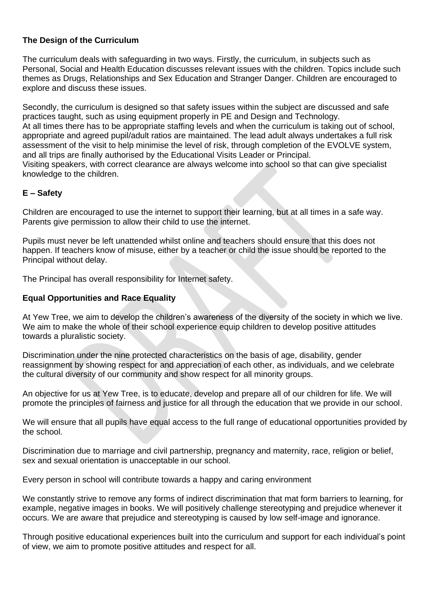# **The Design of the Curriculum**

The curriculum deals with safeguarding in two ways. Firstly, the curriculum, in subjects such as Personal, Social and Health Education discusses relevant issues with the children. Topics include such themes as Drugs, Relationships and Sex Education and Stranger Danger. Children are encouraged to explore and discuss these issues.

Secondly, the curriculum is designed so that safety issues within the subject are discussed and safe practices taught, such as using equipment properly in PE and Design and Technology. At all times there has to be appropriate staffing levels and when the curriculum is taking out of school, appropriate and agreed pupil/adult ratios are maintained. The lead adult always undertakes a full risk assessment of the visit to help minimise the level of risk, through completion of the EVOLVE system, and all trips are finally authorised by the Educational Visits Leader or Principal. Visiting speakers, with correct clearance are always welcome into school so that can give specialist knowledge to the children.

# **E – Safety**

Children are encouraged to use the internet to support their learning, but at all times in a safe way. Parents give permission to allow their child to use the internet.

Pupils must never be left unattended whilst online and teachers should ensure that this does not happen. If teachers know of misuse, either by a teacher or child the issue should be reported to the Principal without delay.

The Principal has overall responsibility for Internet safety.

#### **Equal Opportunities and Race Equality**

At Yew Tree, we aim to develop the children's awareness of the diversity of the society in which we live. We aim to make the whole of their school experience equip children to develop positive attitudes towards a pluralistic society.

Discrimination under the nine protected characteristics on the basis of age, disability, gender reassignment by showing respect for and appreciation of each other, as individuals, and we celebrate the cultural diversity of our community and show respect for all minority groups.

An objective for us at Yew Tree, is to educate, develop and prepare all of our children for life. We will promote the principles of fairness and justice for all through the education that we provide in our school.

We will ensure that all pupils have equal access to the full range of educational opportunities provided by the school.

Discrimination due to marriage and civil partnership, pregnancy and maternity, race, religion or belief, sex and sexual orientation is unacceptable in our school.

Every person in school will contribute towards a happy and caring environment

We constantly strive to remove any forms of indirect discrimination that mat form barriers to learning, for example, negative images in books. We will positively challenge stereotyping and prejudice whenever it occurs. We are aware that prejudice and stereotyping is caused by low self-image and ignorance.

Through positive educational experiences built into the curriculum and support for each individual's point of view, we aim to promote positive attitudes and respect for all.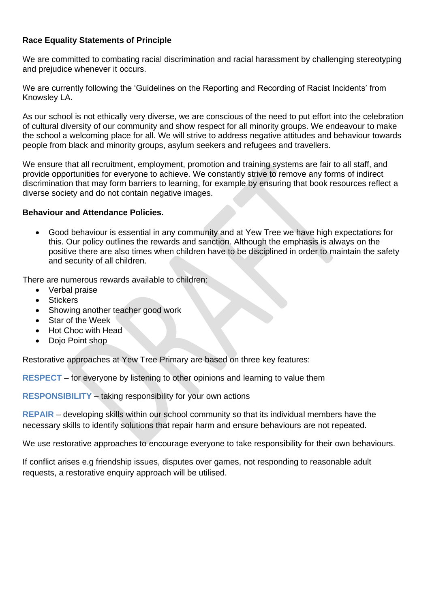# **Race Equality Statements of Principle**

We are committed to combating racial discrimination and racial harassment by challenging stereotyping and prejudice whenever it occurs.

We are currently following the 'Guidelines on the Reporting and Recording of Racist Incidents' from Knowsley LA.

As our school is not ethically very diverse, we are conscious of the need to put effort into the celebration of cultural diversity of our community and show respect for all minority groups. We endeavour to make the school a welcoming place for all. We will strive to address negative attitudes and behaviour towards people from black and minority groups, asylum seekers and refugees and travellers.

We ensure that all recruitment, employment, promotion and training systems are fair to all staff, and provide opportunities for everyone to achieve. We constantly strive to remove any forms of indirect discrimination that may form barriers to learning, for example by ensuring that book resources reflect a diverse society and do not contain negative images.

#### **Behaviour and Attendance Policies.**

• Good behaviour is essential in any community and at Yew Tree we have high expectations for this. Our policy outlines the rewards and sanction. Although the emphasis is always on the positive there are also times when children have to be disciplined in order to maintain the safety and security of all children.

There are numerous rewards available to children:

- Verbal praise
- Stickers
- Showing another teacher good work
- Star of the Week
- Hot Choc with Head
- Dojo Point shop

Restorative approaches at Yew Tree Primary are based on three key features:

**RESPECT** – for everyone by listening to other opinions and learning to value them

**RESPONSIBILITY** – taking responsibility for your own actions

**REPAIR** – developing skills within our school community so that its individual members have the necessary skills to identify solutions that repair harm and ensure behaviours are not repeated.

We use restorative approaches to encourage everyone to take responsibility for their own behaviours.

If conflict arises e.g friendship issues, disputes over games, not responding to reasonable adult requests, a restorative enquiry approach will be utilised.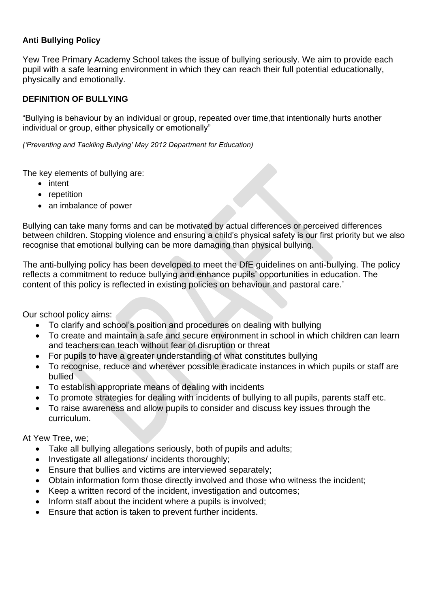# **Anti Bullying Policy**

Yew Tree Primary Academy School takes the issue of bullying seriously. We aim to provide each pupil with a safe learning environment in which they can reach their full potential educationally, physically and emotionally.

# **DEFINITION OF BULLYING**

"Bullying is behaviour by an individual or group, repeated over time,that intentionally hurts another individual or group, either physically or emotionally"

*('Preventing and Tackling Bullying' May 2012 Department for Education)* 

The key elements of bullying are:

- intent
- repetition
- an imbalance of power

Bullying can take many forms and can be motivated by actual differences or perceived differences between children. Stopping violence and ensuring a child's physical safety is our first priority but we also recognise that emotional bullying can be more damaging than physical bullying.

The anti-bullying policy has been developed to meet the DfE guidelines on anti-bullying. The policy reflects a commitment to reduce bullying and enhance pupils' opportunities in education. The content of this policy is reflected in existing policies on behaviour and pastoral care.'

Our school policy aims:

- To clarify and school's position and procedures on dealing with bullying
- To create and maintain a safe and secure environment in school in which children can learn and teachers can teach without fear of disruption or threat
- For pupils to have a greater understanding of what constitutes bullying
- To recognise, reduce and wherever possible eradicate instances in which pupils or staff are bullied
- To establish appropriate means of dealing with incidents
- To promote strategies for dealing with incidents of bullying to all pupils, parents staff etc.
- To raise awareness and allow pupils to consider and discuss key issues through the curriculum.

At Yew Tree, we;

- Take all bullying allegations seriously, both of pupils and adults;
- Investigate all allegations/ incidents thoroughly;
- Ensure that bullies and victims are interviewed separately;
- Obtain information form those directly involved and those who witness the incident;
- Keep a written record of the incident, investigation and outcomes;
- Inform staff about the incident where a pupils is involved;
- Ensure that action is taken to prevent further incidents.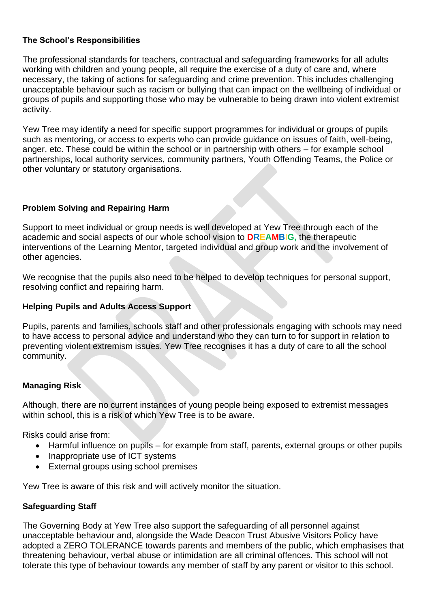# **The School's Responsibilities**

The professional standards for teachers, contractual and safeguarding frameworks for all adults working with children and young people, all require the exercise of a duty of care and, where necessary, the taking of actions for safeguarding and crime prevention. This includes challenging unacceptable behaviour such as racism or bullying that can impact on the wellbeing of individual or groups of pupils and supporting those who may be vulnerable to being drawn into violent extremist activity.

Yew Tree may identify a need for specific support programmes for individual or groups of pupils such as mentoring, or access to experts who can provide guidance on issues of faith, well-being, anger, etc. These could be within the school or in partnership with others – for example school partnerships, local authority services, community partners, Youth Offending Teams, the Police or other voluntary or statutory organisations.

# **Problem Solving and Repairing Harm**

Support to meet individual or group needs is well developed at Yew Tree through each of the academic and social aspects of our whole school vision to **DREAMB**I**G,** the therapeutic interventions of the Learning Mentor, targeted individual and group work and the involvement of other agencies.

We recognise that the pupils also need to be helped to develop techniques for personal support, resolving conflict and repairing harm.

# **Helping Pupils and Adults Access Support**

Pupils, parents and families, schools staff and other professionals engaging with schools may need to have access to personal advice and understand who they can turn to for support in relation to preventing violent extremism issues. Yew Tree recognises it has a duty of care to all the school community.

# **Managing Risk**

Although, there are no current instances of young people being exposed to extremist messages within school, this is a risk of which Yew Tree is to be aware.

Risks could arise from:

- Harmful influence on pupils for example from staff, parents, external groups or other pupils
- Inappropriate use of ICT systems
- External groups using school premises

Yew Tree is aware of this risk and will actively monitor the situation.

#### **Safeguarding Staff**

The Governing Body at Yew Tree also support the safeguarding of all personnel against unacceptable behaviour and, alongside the Wade Deacon Trust Abusive Visitors Policy have adopted a ZERO TOLERANCE towards parents and members of the public, which emphasises that threatening behaviour, verbal abuse or intimidation are all criminal offences. This school will not tolerate this type of behaviour towards any member of staff by any parent or visitor to this school.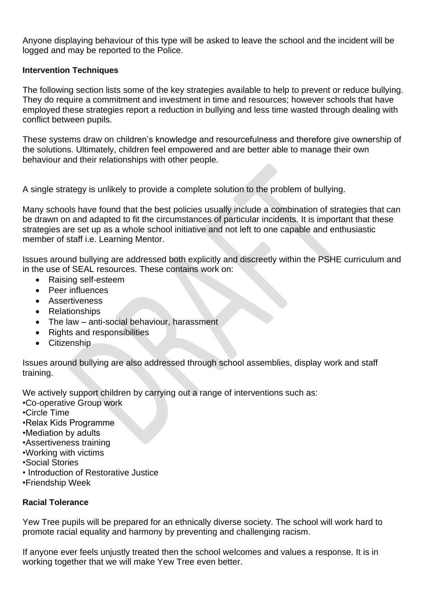Anyone displaying behaviour of this type will be asked to leave the school and the incident will be logged and may be reported to the Police.

# **Intervention Techniques**

The following section lists some of the key strategies available to help to prevent or reduce bullying. They do require a commitment and investment in time and resources; however schools that have employed these strategies report a reduction in bullying and less time wasted through dealing with conflict between pupils.

These systems draw on children's knowledge and resourcefulness and therefore give ownership of the solutions. Ultimately, children feel empowered and are better able to manage their own behaviour and their relationships with other people.

A single strategy is unlikely to provide a complete solution to the problem of bullying.

Many schools have found that the best policies usually include a combination of strategies that can be drawn on and adapted to fit the circumstances of particular incidents. It is important that these strategies are set up as a whole school initiative and not left to one capable and enthusiastic member of staff i.e. Learning Mentor.

Issues around bullying are addressed both explicitly and discreetly within the PSHE curriculum and in the use of SEAL resources. These contains work on:

- Raising self-esteem
- Peer influences
- Assertiveness
- Relationships
- The law anti-social behaviour, harassment
- Rights and responsibilities
- Citizenship

Issues around bullying are also addressed through school assemblies, display work and staff training.

We actively support children by carrying out a range of interventions such as:

- •Co-operative Group work
- •Circle Time
- •Relax Kids Programme
- •Mediation by adults
- •Assertiveness training
- •Working with victims
- •Social Stories
- Introduction of Restorative Justice
- •Friendship Week

# **Racial Tolerance**

Yew Tree pupils will be prepared for an ethnically diverse society. The school will work hard to promote racial equality and harmony by preventing and challenging racism.

If anyone ever feels unjustly treated then the school welcomes and values a response. It is in working together that we will make Yew Tree even better.